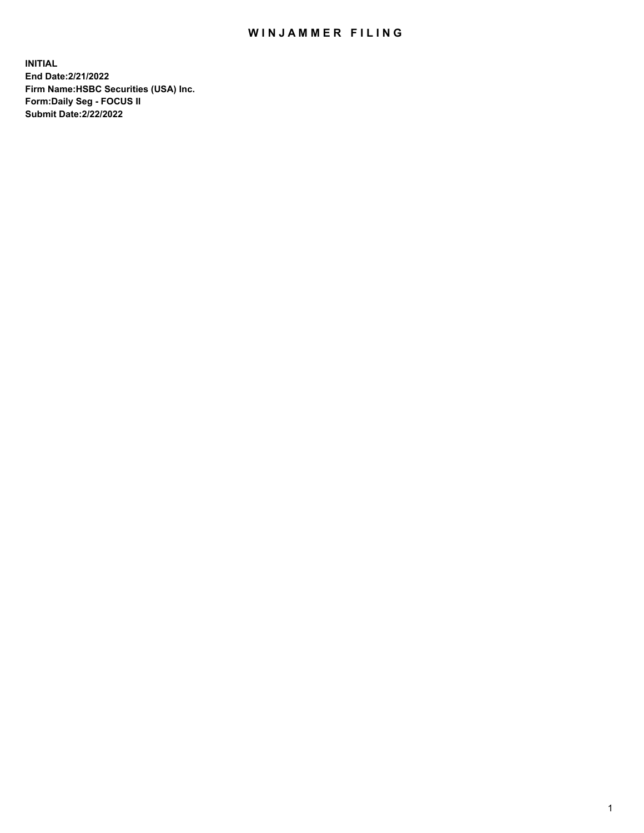## WIN JAMMER FILING

**INITIAL End Date:2/21/2022 Firm Name:HSBC Securities (USA) Inc. Form:Daily Seg - FOCUS II Submit Date:2/22/2022**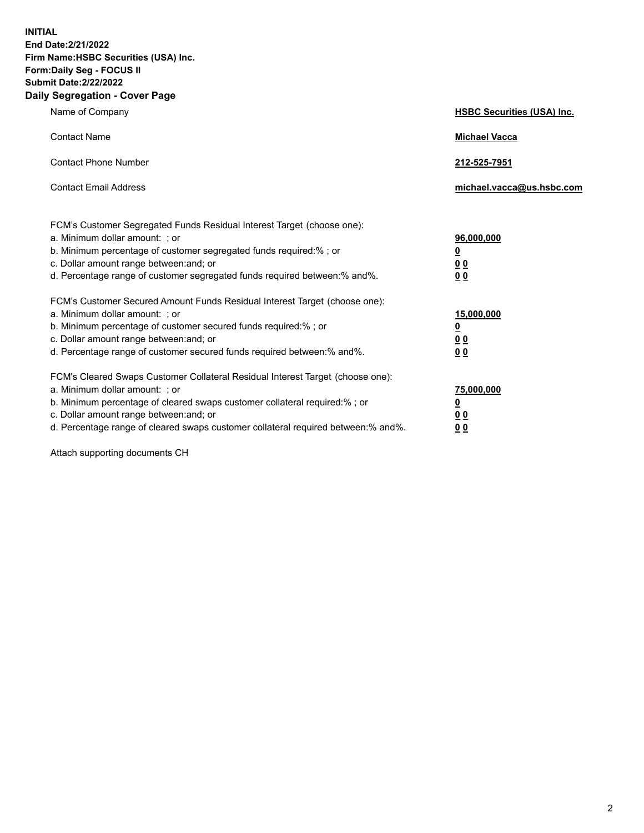**INITIAL End Date:2/21/2022 Firm Name:HSBC Securities (USA) Inc. Form:Daily Seg - FOCUS II Submit Date:2/22/2022 Daily Segregation - Cover Page**

| Name of Company                                                                                                                                                                                                                                                                                                                | <b>HSBC Securities (USA) Inc.</b>                          |
|--------------------------------------------------------------------------------------------------------------------------------------------------------------------------------------------------------------------------------------------------------------------------------------------------------------------------------|------------------------------------------------------------|
| <b>Contact Name</b>                                                                                                                                                                                                                                                                                                            | <b>Michael Vacca</b>                                       |
| <b>Contact Phone Number</b>                                                                                                                                                                                                                                                                                                    | 212-525-7951                                               |
| <b>Contact Email Address</b>                                                                                                                                                                                                                                                                                                   | michael.vacca@us.hsbc.com                                  |
| FCM's Customer Segregated Funds Residual Interest Target (choose one):<br>a. Minimum dollar amount: ; or<br>b. Minimum percentage of customer segregated funds required:% ; or<br>c. Dollar amount range between: and; or<br>d. Percentage range of customer segregated funds required between:% and%.                         | 96,000,000<br><u>0</u><br>0 <sub>0</sub><br>00             |
| FCM's Customer Secured Amount Funds Residual Interest Target (choose one):<br>a. Minimum dollar amount: ; or<br>b. Minimum percentage of customer secured funds required:%; or<br>c. Dollar amount range between: and; or<br>d. Percentage range of customer secured funds required between:% and%.                            | 15,000,000<br><u>0</u><br>0 <sub>0</sub><br>0 <sub>0</sub> |
| FCM's Cleared Swaps Customer Collateral Residual Interest Target (choose one):<br>a. Minimum dollar amount: ; or<br>b. Minimum percentage of cleared swaps customer collateral required:% ; or<br>c. Dollar amount range between: and; or<br>d. Percentage range of cleared swaps customer collateral required between:% and%. | 75,000,000<br><u>0</u><br><u>00</u><br>00                  |

Attach supporting documents CH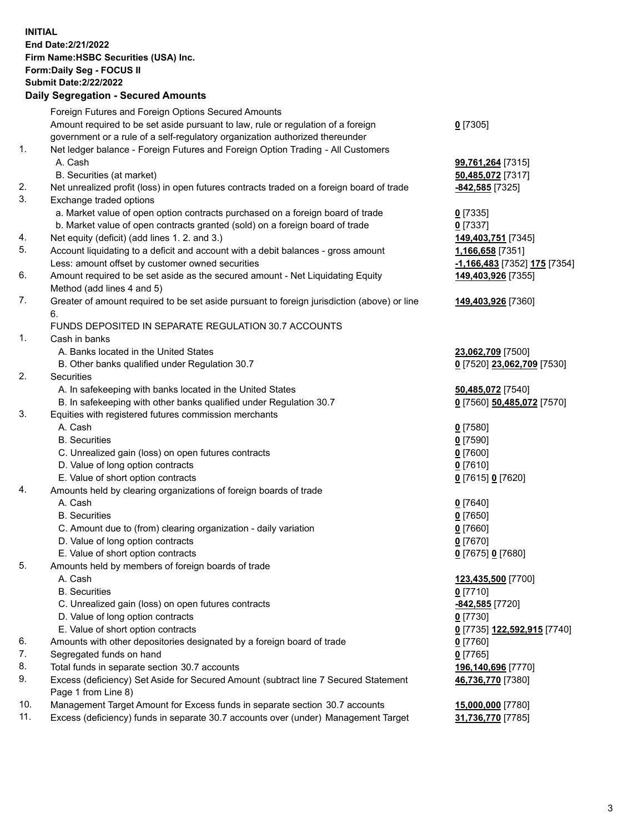**INITIAL End Date:2/21/2022 Firm Name:HSBC Securities (USA) Inc. Form:Daily Seg - FOCUS II Submit Date:2/22/2022 Daily Segregation - Secured Amounts** Foreign Futures and Foreign Options Secured Amounts

Amount required to be set aside pursuant to law, rule or regulation of a foreign

- government or a rule of a self-regulatory organization authorized thereunder 1. Net ledger balance - Foreign Futures and Foreign Option Trading - All Customers A. Cash **99,761,264** [7315]
	-
	- B. Securities (at market) **50,485,072** [7317]
- 2. Net unrealized profit (loss) in open futures contracts traded on a foreign board of trade **-842,585** [7325]
- 3. Exchange traded options
	- a. Market value of open option contracts purchased on a foreign board of trade **0** [7335]
	- b. Market value of open contracts granted (sold) on a foreign board of trade **0** [7337]
- 4. Net equity (deficit) (add lines 1. 2. and 3.) **149,403,751** [7345]
- 5. Account liquidating to a deficit and account with a debit balances gross amount **1,166,658** [7351] Less: amount offset by customer owned securities **-1,166,483** [7352] **175** [7354]
- 6. Amount required to be set aside as the secured amount Net Liquidating Equity Method (add lines 4 and 5)
- 7. Greater of amount required to be set aside pursuant to foreign jurisdiction (above) or line 6.

## FUNDS DEPOSITED IN SEPARATE REGULATION 30.7 ACCOUNTS

- 1. Cash in banks
	- A. Banks located in the United States **23,062,709** [7500]
	- B. Other banks qualified under Regulation 30.7 **0** [7520] **23,062,709** [7530]
- 2. Securities
	- A. In safekeeping with banks located in the United States **50,485,072** [7540]
	- B. In safekeeping with other banks qualified under Regulation 30.7 **0** [7560] **50,485,072** [7570]
- 3. Equities with registered futures commission merchants
	- A. Cash **0** [7580]
	- B. Securities **0** [7590]
	- C. Unrealized gain (loss) on open futures contracts **0** [7600]
	- D. Value of long option contracts **0** [7610]
	- E. Value of short option contracts **0** [7615] **0** [7620]
- 4. Amounts held by clearing organizations of foreign boards of trade
	- A. Cash **0** [7640]
	- B. Securities **0** [7650]
	- C. Amount due to (from) clearing organization daily variation **0** [7660]
	- D. Value of long option contracts **0** [7670]
	- E. Value of short option contracts **0** [7675] **0** [7680]
- 5. Amounts held by members of foreign boards of trade
	-
	- B. Securities **0** [7710]
	- C. Unrealized gain (loss) on open futures contracts **-842,585** [7720]
	- D. Value of long option contracts **0** [7730]
	- E. Value of short option contracts **0** [7735] **122,592,915** [7740]
- 6. Amounts with other depositories designated by a foreign board of trade **0** [7760]
- 7. Segregated funds on hand **0** [7765]
- 8. Total funds in separate section 30.7 accounts **196,140,696** [7770]
- 9. Excess (deficiency) Set Aside for Secured Amount (subtract line 7 Secured Statement Page 1 from Line 8)
- 10. Management Target Amount for Excess funds in separate section 30.7 accounts **15,000,000** [7780]
- 11. Excess (deficiency) funds in separate 30.7 accounts over (under) Management Target **31,736,770** [7785]

**0** [7305]

**149,403,926** [7355]

**149,403,926** [7360]

 A. Cash **123,435,500** [7700] **46,736,770** [7380]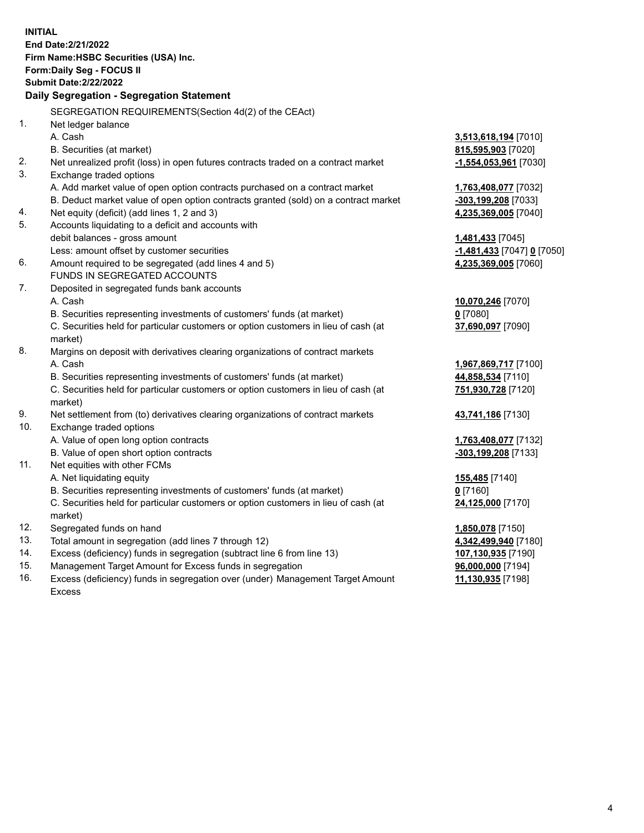**INITIAL End Date:2/21/2022 Firm Name:HSBC Securities (USA) Inc. Form:Daily Seg - FOCUS II Submit Date:2/22/2022 Daily Segregation - Segregation Statement** SEGREGATION REQUIREMENTS(Section 4d(2) of the CEAct) 1. Net ledger balance A. Cash **3,513,618,194** [7010] B. Securities (at market) **815,595,903** [7020] 2. Net unrealized profit (loss) in open futures contracts traded on a contract market **-1,554,053,961** [7030] 3. Exchange traded options A. Add market value of open option contracts purchased on a contract market **1,763,408,077** [7032] B. Deduct market value of open option contracts granted (sold) on a contract market **-303,199,208** [7033] 4. Net equity (deficit) (add lines 1, 2 and 3) **4,235,369,005** [7040] 5. Accounts liquidating to a deficit and accounts with debit balances - gross amount **1,481,433** [7045] Less: amount offset by customer securities **-1,481,433** [7047] **0** [7050] 6. Amount required to be segregated (add lines 4 and 5) **4,235,369,005** [7060] FUNDS IN SEGREGATED ACCOUNTS 7. Deposited in segregated funds bank accounts A. Cash **10,070,246** [7070] B. Securities representing investments of customers' funds (at market) **0** [7080] C. Securities held for particular customers or option customers in lieu of cash (at market) **37,690,097** [7090] 8. Margins on deposit with derivatives clearing organizations of contract markets A. Cash **1,967,869,717** [7100] B. Securities representing investments of customers' funds (at market) **44,858,534** [7110] C. Securities held for particular customers or option customers in lieu of cash (at market) **751,930,728** [7120] 9. Net settlement from (to) derivatives clearing organizations of contract markets **43,741,186** [7130] 10. Exchange traded options A. Value of open long option contracts **1,763,408,077** [7132] B. Value of open short option contracts **-303,199,208** [7133] 11. Net equities with other FCMs A. Net liquidating equity **155,485** [7140] B. Securities representing investments of customers' funds (at market) **0** [7160] C. Securities held for particular customers or option customers in lieu of cash (at market) **24,125,000** [7170] 12. Segregated funds on hand **1,850,078** [7150] 13. Total amount in segregation (add lines 7 through 12) **4,342,499,940** [7180] 14. Excess (deficiency) funds in segregation (subtract line 6 from line 13) **107,130,935** [7190] 15. Management Target Amount for Excess funds in segregation **96,000,000** [7194] 16. Excess (deficiency) funds in segregation over (under) Management Target Amount **11,130,935** [7198]

Excess